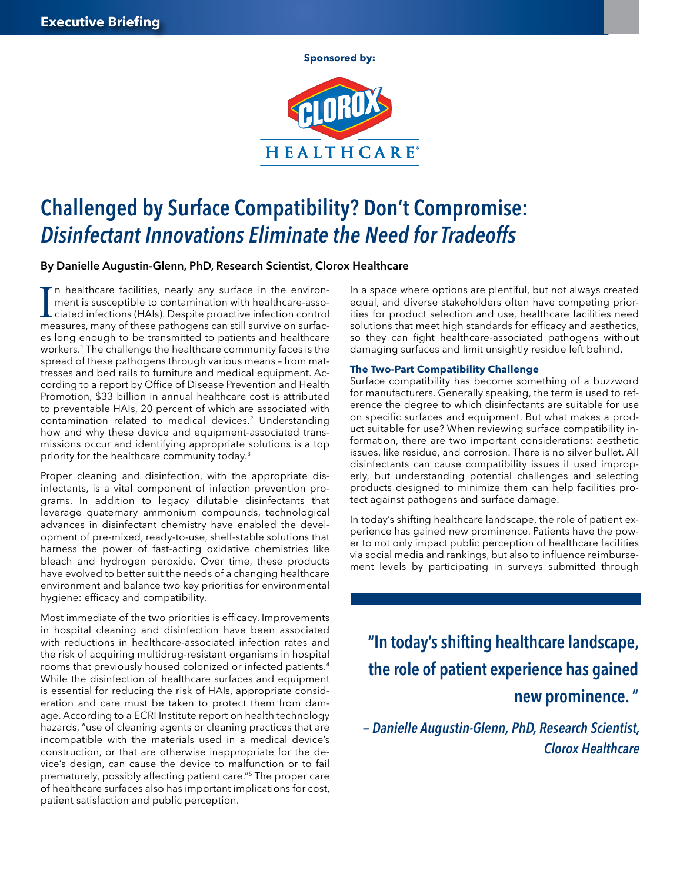**Sponsored by:**



# Challenged by Surface Compatibility? Don't Compromise: *Disinfectant Innovations Eliminate the Need for Tradeoffs*

By Danielle Augustin-Glenn, PhD, Research Scientist, Clorox Healthcare

I n healthcare facilities, nearly any surface in the environment is susceptible to contamination with healthcare-associated infections (HAIs). Despite proactive infection control measures, many of these pathogens can still survive on surfaces long enough to be transmitted to patients and healthcare workers.<sup>1</sup> The challenge the healthcare community faces is the spread of these pathogens through various means – from mattresses and bed rails to furniture and medical equipment. According to a report by Office of Disease Prevention and Health Promotion, \$33 billion in annual healthcare cost is attributed to preventable HAIs, 20 percent of which are associated with contamination related to medical devices.<sup>2</sup> Understanding how and why these device and equipment-associated transmissions occur and identifying appropriate solutions is a top priority for the healthcare community today.3

Proper cleaning and disinfection, with the appropriate disinfectants, is a vital component of infection prevention programs. In addition to legacy dilutable disinfectants that leverage quaternary ammonium compounds, technological advances in disinfectant chemistry have enabled the development of pre-mixed, ready-to-use, shelf-stable solutions that harness the power of fast-acting oxidative chemistries like bleach and hydrogen peroxide. Over time, these products have evolved to better suit the needs of a changing healthcare environment and balance two key priorities for environmental hygiene: efficacy and compatibility.

Most immediate of the two priorities is efficacy. Improvements in hospital cleaning and disinfection have been associated with reductions in healthcare-associated infection rates and the risk of acquiring multidrug-resistant organisms in hospital rooms that previously housed colonized or infected patients.4 While the disinfection of healthcare surfaces and equipment is essential for reducing the risk of HAIs, appropriate consideration and care must be taken to protect them from damage. According to a ECRI Institute report on health technology hazards, "use of cleaning agents or cleaning practices that are incompatible with the materials used in a medical device's construction, or that are otherwise inappropriate for the device's design, can cause the device to malfunction or to fail prematurely, possibly affecting patient care."5 The proper care of healthcare surfaces also has important implications for cost, patient satisfaction and public perception.

In a space where options are plentiful, but not always created equal, and diverse stakeholders often have competing priorities for product selection and use, healthcare facilities need solutions that meet high standards for efficacy and aesthetics, so they can fight healthcare-associated pathogens without damaging surfaces and limit unsightly residue left behind.

### **The Two-Part Compatibility Challenge**

Surface compatibility has become something of a buzzword for manufacturers. Generally speaking, the term is used to reference the degree to which disinfectants are suitable for use on specific surfaces and equipment. But what makes a product suitable for use? When reviewing surface compatibility information, there are two important considerations: aesthetic issues, like residue, and corrosion. There is no silver bullet. All disinfectants can cause compatibility issues if used improperly, but understanding potential challenges and selecting products designed to minimize them can help facilities protect against pathogens and surface damage.

In today's shifting healthcare landscape, the role of patient experience has gained new prominence. Patients have the power to not only impact public perception of healthcare facilities via social media and rankings, but also to influence reimbursement levels by participating in surveys submitted through

"In today's shifting healthcare landscape, the role of patient experience has gained new prominence. "

*— Danielle Augustin-Glenn, PhD, Research Scientist, Clorox Healthcare*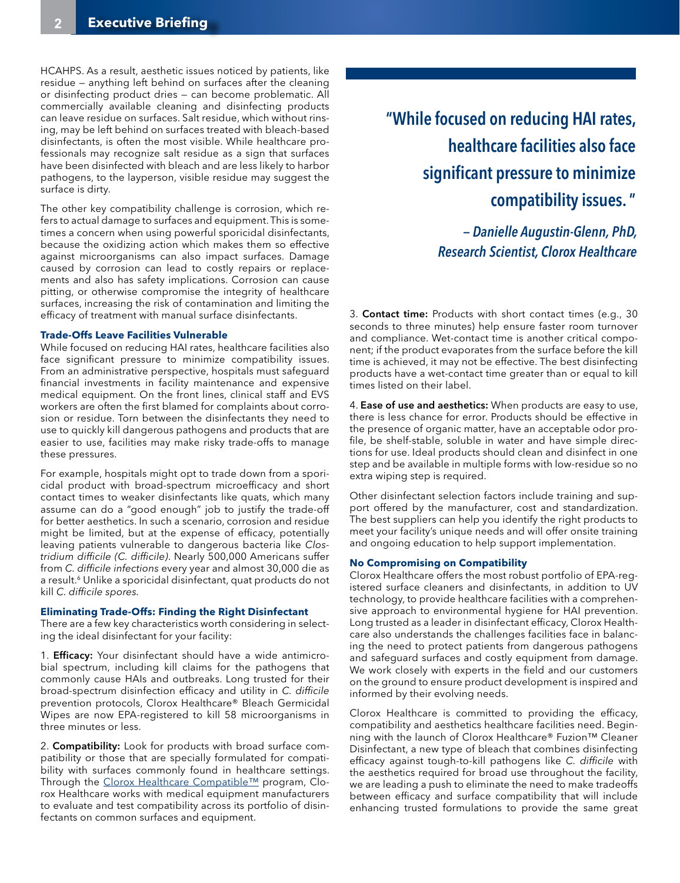HCAHPS. As a result, aesthetic issues noticed by patients, like residue — anything left behind on surfaces after the cleaning or disinfecting product dries — can become problematic. All commercially available cleaning and disinfecting products can leave residue on surfaces. Salt residue, which without rinsing, may be left behind on surfaces treated with bleach-based disinfectants, is often the most visible. While healthcare professionals may recognize salt residue as a sign that surfaces have been disinfected with bleach and are less likely to harbor pathogens, to the layperson, visible residue may suggest the surface is dirty.

The other key compatibility challenge is corrosion, which refers to actual damage to surfaces and equipment. This is sometimes a concern when using powerful sporicidal disinfectants, because the oxidizing action which makes them so effective against microorganisms can also impact surfaces. Damage caused by corrosion can lead to costly repairs or replacements and also has safety implications. Corrosion can cause pitting, or otherwise compromise the integrity of healthcare surfaces, increasing the risk of contamination and limiting the efficacy of treatment with manual surface disinfectants.

#### **Trade-Offs Leave Facilities Vulnerable**

While focused on reducing HAI rates, healthcare facilities also face significant pressure to minimize compatibility issues. From an administrative perspective, hospitals must safeguard financial investments in facility maintenance and expensive medical equipment. On the front lines, clinical staff and EVS workers are often the first blamed for complaints about corrosion or residue. Torn between the disinfectants they need to use to quickly kill dangerous pathogens and products that are easier to use, facilities may make risky trade-offs to manage these pressures.

For example, hospitals might opt to trade down from a sporicidal product with broad-spectrum microefficacy and short contact times to weaker disinfectants like quats, which many assume can do a "good enough" job to justify the trade-off for better aesthetics. In such a scenario, corrosion and residue might be limited, but at the expense of efficacy, potentially leaving patients vulnerable to dangerous bacteria like *Clostridium difficile (C. difficile)*. Nearly 500,000 Americans suffer from *C. difficile infections* every year and almost 30,000 die as a result.<sup>6</sup> Unlike a sporicidal disinfectant, quat products do not kill *C. difficile spores.*

#### **Eliminating Trade-Offs: Finding the Right Disinfectant**

There are a few key characteristics worth considering in selecting the ideal disinfectant for your facility:

1. **Efficacy:** Your disinfectant should have a wide antimicrobial spectrum, including kill claims for the pathogens that commonly cause HAIs and outbreaks. Long trusted for their broad-spectrum disinfection efficacy and utility in *C. difficile* prevention protocols, Clorox Healthcare® Bleach Germicidal Wipes are now EPA-registered to kill 58 microorganisms in three minutes or less.

2. Compatibility: Look for products with broad surface compatibility or those that are specially formulated for compatibility with surfaces commonly found in healthcare settings. Through the [Clorox Healthcare Compatible™](https://www.cloroxprofessional.com/industry/health/training-and-tools/equipment-cleaning-compatibility-guide/?utm_source=BeckersHR&utm_medium=HC_DigMagazine&utm_campaign=FY17_Q4_Compatibility) program, Clorox Healthcare works with medical equipment manufacturers to evaluate and test compatibility across its portfolio of disinfectants on common surfaces and equipment.

## "While focused on reducing HAI rates, healthcare facilities also face significant pressure to minimize compatibility issues. "

*— Danielle Augustin-Glenn, PhD, Research Scientist, Clorox Healthcare*

3. Contact time: Products with short contact times (e.g., 30 seconds to three minutes) help ensure faster room turnover and compliance. Wet-contact time is another critical component; if the product evaporates from the surface before the kill time is achieved, it may not be effective. The best disinfecting products have a wet-contact time greater than or equal to kill times listed on their label.

4. Ease of use and aesthetics: When products are easy to use, there is less chance for error. Products should be effective in the presence of organic matter, have an acceptable odor profile, be shelf-stable, soluble in water and have simple directions for use. Ideal products should clean and disinfect in one step and be available in multiple forms with low-residue so no extra wiping step is required.

Other disinfectant selection factors include training and support offered by the manufacturer, cost and standardization. The best suppliers can help you identify the right products to meet your facility's unique needs and will offer onsite training and ongoing education to help support implementation.

#### **No Compromising on Compatibility**

Clorox Healthcare offers the most robust portfolio of EPA-registered surface cleaners and disinfectants, in addition to UV technology, to provide healthcare facilities with a comprehensive approach to environmental hygiene for HAI prevention. Long trusted as a leader in disinfectant efficacy, Clorox Healthcare also understands the challenges facilities face in balancing the need to protect patients from dangerous pathogens and safeguard surfaces and costly equipment from damage. We work closely with experts in the field and our customers on the ground to ensure product development is inspired and informed by their evolving needs.

Clorox Healthcare is committed to providing the efficacy, compatibility and aesthetics healthcare facilities need. Beginning with the launch of Clorox Healthcare® Fuzion™ Cleaner Disinfectant, a new type of bleach that combines disinfecting efficacy against tough-to-kill pathogens like *C. difficile* with the aesthetics required for broad use throughout the facility, we are leading a push to eliminate the need to make tradeoffs between efficacy and surface compatibility that will include enhancing trusted formulations to provide the same great